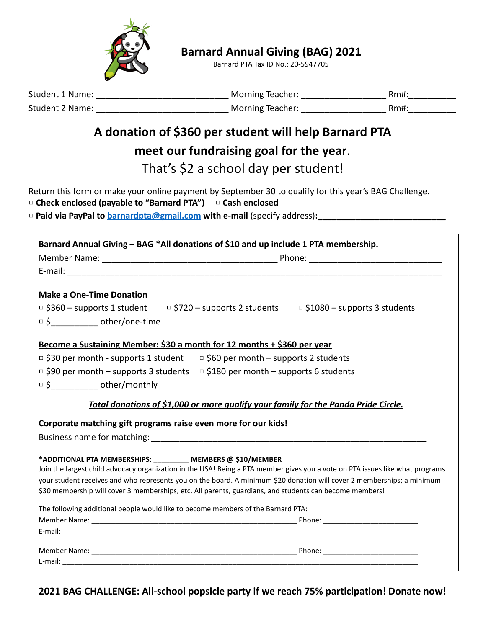

**Barnard Annual Giving (BAG) 2021**

Barnard PTA Tax ID No.: 20-5947705

| <b>Student 1 Name:</b> | Morning Teacher:        | Rm#: |
|------------------------|-------------------------|------|
| <b>Student 2 Name:</b> | <b>Morning Teacher:</b> | Rm#: |

#### **A donation of \$360 per student will help Barnard PTA**

#### **meet our fundraising goal for the year**.

That's \$2 a school day per student!

Return this form or make your online payment by September 30 to qualify for this year's BAG Challenge. **□ Check enclosed (payable to "Barnard PTA") □ Cash enclosed**

**□ Paid via PayPal to [barnardpta@gmail.com](mailto:barnardpta@gmail.com) with e-mail** (specify address)**:\_\_\_\_\_\_\_\_\_\_\_\_\_\_\_\_\_\_\_\_\_\_\_\_\_\_\_**

| <b>Make a One-Time Donation</b><br>$\Box$ \$360 – supports 1 student $\Box$ \$720 – supports 2 students $\Box$ \$1080 – supports 3 students<br>$\Box$ \$ ________________ other/one-time      |
|-----------------------------------------------------------------------------------------------------------------------------------------------------------------------------------------------|
|                                                                                                                                                                                               |
|                                                                                                                                                                                               |
|                                                                                                                                                                                               |
|                                                                                                                                                                                               |
|                                                                                                                                                                                               |
|                                                                                                                                                                                               |
|                                                                                                                                                                                               |
| Become a Sustaining Member: \$30 a month for 12 months + \$360 per year                                                                                                                       |
| $\Box$ \$30 per month - supports 1 student<br>$\Box$ \$60 per month – supports 2 students                                                                                                     |
| □ \$90 per month – supports 3 students = \$180 per month – supports 6 students                                                                                                                |
| $\overline{S}$ $\longleftarrow$ other/monthly                                                                                                                                                 |
| Total donations of \$1,000 or more qualify your family for the Panda Pride Circle.                                                                                                            |
| Corporate matching gift programs raise even more for our kids!                                                                                                                                |
|                                                                                                                                                                                               |
|                                                                                                                                                                                               |
| *ADDITIONAL PTA MEMBERSHIPS: _________ MEMBERS @ \$10/MEMBER<br>Join the largest child advocacy organization in the USA! Being a PTA member gives you a vote on PTA issues like what programs |
| your student receives and who represents you on the board. A minimum \$20 donation will cover 2 memberships; a minimum                                                                        |
| \$30 membership will cover 3 memberships, etc. All parents, guardians, and students can become members!                                                                                       |
|                                                                                                                                                                                               |
| The following additional people would like to become members of the Barnard PTA:                                                                                                              |
|                                                                                                                                                                                               |
|                                                                                                                                                                                               |
|                                                                                                                                                                                               |
|                                                                                                                                                                                               |

**2021 BAG CHALLENGE: All-school popsicle party if we reach 75% participation! Donate now!**